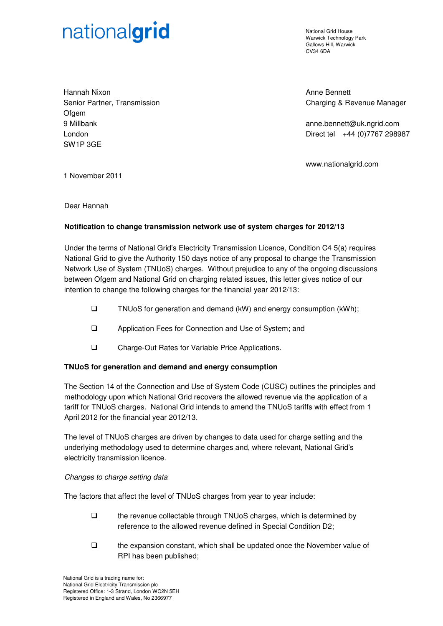# nationalgrid

National Grid House Warwick Technology Park Gallows Hill, Warwick CV34 6DA

Hannah Nixon Senior Partner, Transmission **Ofgem** 9 Millbank London SW1P 3GE

Anne Bennett Charging & Revenue Manager

anne.bennett@uk.ngrid.com Direct tel +44 (0)7767 298987

www.nationalgrid.com

1 November 2011

Dear Hannah

# **Notification to change transmission network use of system charges for 2012/13**

Under the terms of National Grid's Electricity Transmission Licence, Condition C4 5(a) requires National Grid to give the Authority 150 days notice of any proposal to change the Transmission Network Use of System (TNUoS) charges. Without prejudice to any of the ongoing discussions between Ofgem and National Grid on charging related issues, this letter gives notice of our intention to change the following charges for the financial year 2012/13:

- $\square$  TNUoS for generation and demand (kW) and energy consumption (kWh);
- Application Fees for Connection and Use of System; and
- □ Charge-Out Rates for Variable Price Applications.

### **TNUoS for generation and demand and energy consumption**

The Section 14 of the Connection and Use of System Code (CUSC) outlines the principles and methodology upon which National Grid recovers the allowed revenue via the application of a tariff for TNUoS charges. National Grid intends to amend the TNUoS tariffs with effect from 1 April 2012 for the financial year 2012/13.

The level of TNUoS charges are driven by changes to data used for charge setting and the underlying methodology used to determine charges and, where relevant, National Grid's electricity transmission licence.

### Changes to charge setting data

The factors that affect the level of TNUoS charges from year to year include:

- the revenue collectable through TNUoS charges, which is determined by reference to the allowed revenue defined in Special Condition D2;
- $\Box$  the expansion constant, which shall be updated once the November value of RPI has been published;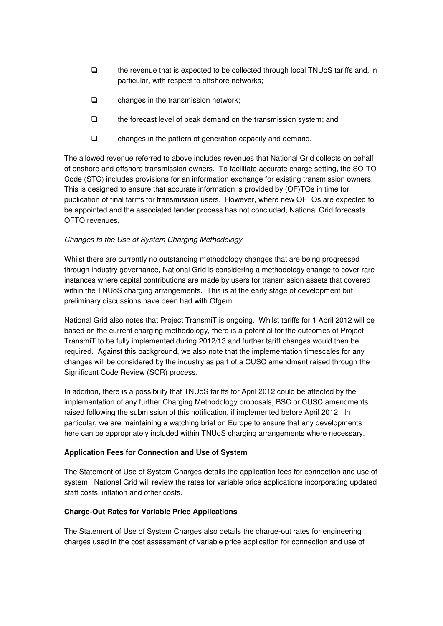- $\Box$  the revenue that is expected to be collected through local TNUoS tariffs and, in particular, with respect to offshore networks;
- $\Box$  changes in the transmission network;
- $\Box$  the forecast level of peak demand on the transmission system; and
- changes in the pattern of generation capacity and demand.

The allowed revenue referred to above includes revenues that National Grid collects on behalf of onshore and offshore transmission owners. To facilitate accurate charge setting, the SO-TO Code (STC) includes provisions for an information exchange for existing transmission owners. This is designed to ensure that accurate information is provided by (OF)TOs in time for publication of final tariffs for transmission users. However, where new OFTOs are expected to be appointed and the associated tender process has not concluded, National Grid forecasts OFTO revenues.

# Changes to the Use of System Charging Methodology

Whilst there are currently no outstanding methodology changes that are being progressed through industry governance, National Grid is considering a methodology change to cover rare instances where capital contributions are made by users for transmission assets that covered within the TNUoS charging arrangements. This is at the early stage of development but preliminary discussions have been had with Ofgem.

National Grid also notes that Project TransmiT is ongoing. Whilst tariffs for 1 April 2012 will be based on the current charging methodology, there is a potential for the outcomes of Project TransmiT to be fully implemented during 2012/13 and further tariff changes would then be required. Against this background, we also note that the implementation timescales for any changes will be considered by the industry as part of a CUSC amendment raised through the Significant Code Review (SCR) process.

In addition, there is a possibility that TNUoS tariffs for April 2012 could be affected by the implementation of any further Charging Methodology proposals, BSC or CUSC amendments raised following the submission of this notification, if implemented before April 2012. In particular, we are maintaining a watching brief on Europe to ensure that any developments here can be appropriately included within TNUoS charging arrangements where necessary.

### **Application Fees for Connection and Use of System**

The Statement of Use of System Charges details the application fees for connection and use of system. National Grid will review the rates for variable price applications incorporating updated staff costs, inflation and other costs.

### **Charge-Out Rates for Variable Price Applications**

The Statement of Use of System Charges also details the charge-out rates for engineering charges used in the cost assessment of variable price application for connection and use of